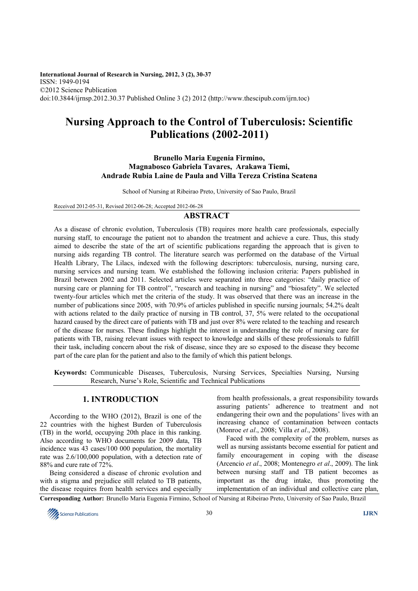**International Journal of Research in Nursing, 2012, 3 (2), 30-37**  ISSN: 1949-0194 ©2012 Science Publication doi:10.3844/ijrnsp.2012.30.37 Published Online 3 (2) 2012 (http://www.thescipub.com/ijrn.toc)

# **Nursing Approach to the Control of Tuberculosis: Scientific Publications (2002-2011)**

### **Brunello Maria Eugenia Firmino, Magnabosco Gabriela Tavares, Arakawa Tiemi, Andrade Rubia Laine de Paula and Villa Tereza Cristina Scatena**

School of Nursing at Ribeirao Preto, University of Sao Paulo, Brazil

Received 2012-05-31, Revised 2012-06-28; Accepted 2012-06-28

# **ABSTRACT**

As a disease of chronic evolution, Tuberculosis (TB) requires more health care professionals, especially nursing staff, to encourage the patient not to abandon the treatment and achieve a cure. Thus, this study aimed to describe the state of the art of scientific publications regarding the approach that is given to nursing aids regarding TB control. The literature search was performed on the database of the Virtual Health Library, The Lilacs, indexed with the following descriptors: tuberculosis, nursing, nursing care, nursing services and nursing team. We established the following inclusion criteria: Papers published in Brazil between 2002 and 2011. Selected articles were separated into three categories: "daily practice of nursing care or planning for TB control", "research and teaching in nursing" and "biosafety". We selected twenty-four articles which met the criteria of the study. It was observed that there was an increase in the number of publications since 2005, with 70.9% of articles published in specific nursing journals; 54.2% dealt with actions related to the daily practice of nursing in TB control, 37, 5% were related to the occupational hazard caused by the direct care of patients with TB and just over 8% were related to the teaching and research of the disease for nurses. These findings highlight the interest in understanding the role of nursing care for patients with TB, raising relevant issues with respect to knowledge and skills of these professionals to fulfill their task, including concern about the risk of disease, since they are so exposed to the disease they become part of the care plan for the patient and also to the family of which this patient belongs.

**Keywords:** Communicable Diseases, Tuberculosis, Nursing Services, Specialties Nursing, Nursing Research, Nurse's Role, Scientific and Technical Publications

### **1. INTRODUCTION**

According to the WHO (2012), Brazil is one of the 22 countries with the highest Burden of Tuberculosis (TB) in the world, occupying 20th place in this ranking. Also according to WHO documents for 2009 data, TB incidence was 43 cases/100 000 population, the mortality rate was 2.6/100,000 population, with a detection rate of 88% and cure rate of 72%.

Being considered a disease of chronic evolution and with a stigma and prejudice still related to TB patients, the disease requires from health services and especially from health professionals, a great responsibility towards assuring patients' adherence to treatment and not endangering their own and the populations' lives with an increasing chance of contamination between contacts (Monroe *et al*., 2008; Villa *et al*., 2008).

Faced with the complexity of the problem, nurses as well as nursing assistants become essential for patient and family encouragement in coping with the disease (Arcencio *et al*., 2008; Montenegro *et al*., 2009). The link between nursing staff and TB patient becomes as important as the drug intake, thus promoting the implementation of an individual and collective care plan,

**Corresponding Author:** Brunello Maria Eugenia Firmino, School of Nursing at Ribeirao Preto, University of Sao Paulo, Brazil

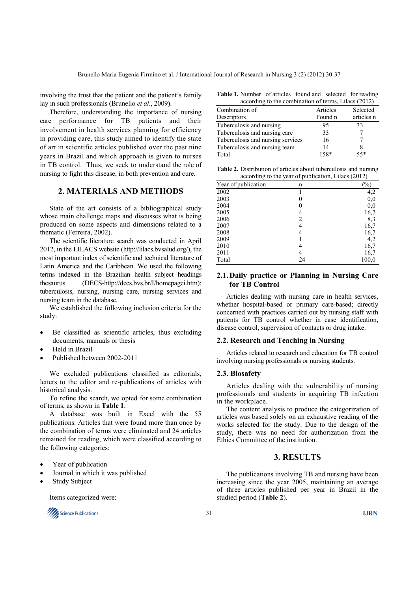involving the trust that the patient and the patient's family lay in such professionals (Brunello *et al*., 2009).

Therefore, understanding the importance of nursing care performance for TB patients and their involvement in health services planning for efficiency in providing care, this study aimed to identify the state of art in scientific articles published over the past nine years in Brazil and which approach is given to nurses in TB control. Thus, we seek to understand the role of nursing to fight this disease, in both prevention and cure.

## **2. MATERIALS AND METHODS**

State of the art consists of a bibliographical study whose main challenge maps and discusses what is being produced on some aspects and dimensions related to a thematic (Ferreira, 2002).

The scientific literature search was conducted in April 2012, in the LILACS website (http://lilacs.bvsalud.org/), the most important index of scientific and technical literature of Latin America and the Caribbean. We used the following terms indexed in the Brazilian health subject headings thesaurus (DECS-http://decs.bvs.br/I/homepagei.htm): tuberculosis, nursing, nursing care, nursing services and nursing team in the database.

We established the following inclusion criteria for the study:

- Be classified as scientific articles, thus excluding documents, manuals or thesis
- Held in Brazil
- Published between 2002-2011

We excluded publications classified as editorials, letters to the editor and re-publications of articles with historical analysis.

To refine the search, we opted for some combination of terms, as shown in **Table 1**.

A database was built in Excel with the 55 publications. Articles that were found more than once by the combination of terms were eliminated and 24 articles remained for reading, which were classified according to the following categories:

- Year of publication
- Journal in which it was published
- Study Subject

Items categorized were:



**Table 1.** Number of articles found and selected for reading according to the combination of terms, Lilacs (2012).

| $\mu$ according to the comomution of terms, Emacs $(2012)$ |          |            |  |  |
|------------------------------------------------------------|----------|------------|--|--|
| Combination of                                             | Articles | Selected   |  |  |
| Descriptors                                                | Found n  | articles n |  |  |
| Tuberculosis and nursing                                   | 95       | 33         |  |  |
| Tuberculosis and nursing care                              | 33       |            |  |  |
| Tuberculosis and nursing services                          | 16       |            |  |  |
| Tuberculosis and nursing team                              | 14       | 8          |  |  |
| Total                                                      | 158*     | $55*$      |  |  |

**Table 2.** Distribution of articles about tuberculosis and nursing according to the year of publication, Lilacs (2012)

| $\check{ }$         | -  | . .<br>×.<br>╭ |
|---------------------|----|----------------|
| Year of publication | n  | $\%$           |
| 2002                |    | 4,2            |
| 2003                |    | 0,0            |
| 2004                |    | 0,0            |
| 2005                |    | 16,7           |
| 2006                | 2  | 8,3            |
| 2007                | 4  | 16,7           |
| 2008                | 4  | 16,7           |
| 2009                |    | 4,2            |
| 2010                |    | 16,7           |
| 2011                |    | 16,7           |
| Total               | 24 | 100.0          |
|                     |    |                |

### **2.1. Daily practice or Planning in Nursing Care for TB Control**

Articles dealing with nursing care in health services, whether hospital-based or primary care-based; directly concerned with practices carried out by nursing staff with patients for TB control whether in case identification, disease control, supervision of contacts or drug intake.

#### **2.2. Research and Teaching in Nursing**

Articles related to research and education for TB control involving nursing professionals or nursing students.

#### **2.3. Biosafety**

Articles dealing with the vulnerability of nursing professionals and students in acquiring TB infection in the workplace.

The content analysis to produce the categorization of articles was based solely on an exhaustive reading of the works selected for the study. Due to the design of the study, there was no need for authorization from the Ethics Committee of the institution.

### **3. RESULTS**

The publications involving TB and nursing have been increasing since the year 2005, maintaining an average of three articles published per year in Brazil in the studied period (**Table 2**).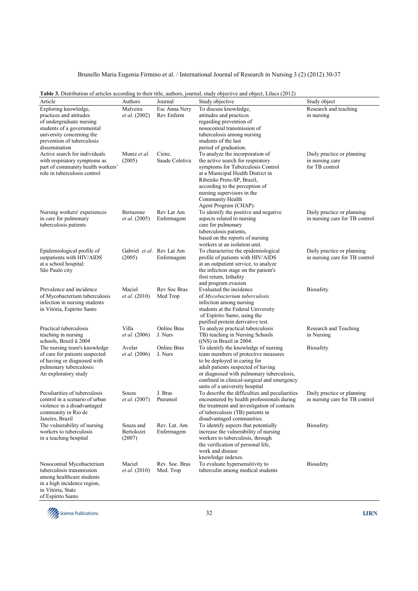| Article                                                           | Authors                             | Journal                | $10$ and $100$ , $100$ and $100$<br>Study objective                      | Study object                        |
|-------------------------------------------------------------------|-------------------------------------|------------------------|--------------------------------------------------------------------------|-------------------------------------|
| Exploring knowledge,                                              | Malveira                            | Esc Anna Nery          | To discuss knowledge,                                                    | Research and teaching               |
| practices and attitudes                                           | <i>et al.</i> (2002)                | Rev Enferm             | attitudes and practices                                                  | in nursing                          |
| of undergraduate nursing                                          |                                     |                        | regarding prevention of                                                  |                                     |
| students of a governmental                                        |                                     |                        | nosocomial transmission of                                               |                                     |
| university concerning the                                         |                                     |                        | tuberculosis among nursing                                               |                                     |
| prevention of tuberculosis                                        |                                     |                        | students of the last                                                     |                                     |
| dissemination                                                     |                                     |                        | period of graduation.                                                    |                                     |
| Active search for individuals                                     | Muniz et al.                        | Cienc.                 | To analyze the incorporation of                                          | Daily practice or planning          |
| with respiratory symptoms as<br>part of community health workers' | (2005)                              | Saude Coletiva         | the active search for respiratory<br>symptoms for Tuberculosis Control   | in nursing care<br>for TB control   |
| role in tuberculosis control                                      |                                     |                        | at a Municipal Health District in                                        |                                     |
|                                                                   |                                     |                        | Ribeirão Preto-SP, Brazil,                                               |                                     |
|                                                                   |                                     |                        | according to the perception of                                           |                                     |
|                                                                   |                                     |                        | nursing supervisors in the                                               |                                     |
|                                                                   |                                     |                        | Community Health                                                         |                                     |
|                                                                   |                                     |                        | Agent Program (CHAP).                                                    |                                     |
| Nursing workers' experiences                                      | Bertazone                           | Rev Lat Am             | To identify the positive and negative                                    | Daily practice or planning          |
| in care for pulmonary                                             | <i>et al.</i> (2005)                | Enfermagem             | aspects related to nursing                                               | in nursing care for TB control      |
| tuberculosis patients                                             |                                     |                        | care for pulmonary                                                       |                                     |
|                                                                   |                                     |                        | tuberculosis patients,                                                   |                                     |
|                                                                   |                                     |                        | based on the reports of nursing                                          |                                     |
|                                                                   |                                     |                        | workers at an isolation unit.                                            | Daily practice or planning          |
| Epidemiological profile of<br>outpatients with HIV/AIDS           | Gabriel et al. Rev Lat Am<br>(2005) | Enfermagem             | To characterize the epidemiological<br>profile of patients with HIV/AIDS | in nursing care for TB control      |
| at a school hospital:                                             |                                     |                        | at an outpatient service, to analyze                                     |                                     |
| São Paulo city                                                    |                                     |                        | the infection stage on the patient's                                     |                                     |
|                                                                   |                                     |                        | first return, lethality                                                  |                                     |
|                                                                   |                                     |                        | and program evasion                                                      |                                     |
| Prevalence and incidence                                          | Maciel                              | Rev Soc Bras           | Evaluated the incidence                                                  | Biosafety                           |
| of Mycobacterium tuberculosis                                     | <i>et al.</i> (2010)                | Med Trop               | of Mycobacterium tuberculosis                                            |                                     |
| infection in nursing students                                     |                                     |                        | infection among nursing                                                  |                                     |
| in Vitória, Espírito Santo                                        |                                     |                        | students at the Federal University                                       |                                     |
|                                                                   |                                     |                        | of Espírito Santo, using the                                             |                                     |
|                                                                   |                                     |                        | purified protein derivative test.                                        |                                     |
| Practical tuberculosis<br>teaching in nursing                     | Villa<br><i>et al.</i> (2006)       | Online Bras<br>J. Nurs | To analyze practical tuberculosis<br>TB) teaching in Nursing Schools     | Research and Teaching<br>in Nursing |
| schools, Brazil û 2004                                            |                                     |                        | $(NS)$ in Brazil in 2004.                                                |                                     |
| The nursing team's knowledge                                      | Avelar                              | Online Bras            | To identify the knowledge of nursing                                     | <b>Biosafety</b>                    |
| of care for patients suspected                                    | et al. (2006)                       | J. Nurs                | team members of protective measures                                      |                                     |
| of having or diagnosed with                                       |                                     |                        | to be deployed in caring for                                             |                                     |
| pulmonary tuberculosis:                                           |                                     |                        | adult patients suspected of having                                       |                                     |
| An exploratory study                                              |                                     |                        | or diagnosed with pulmonary tuberculosis,                                |                                     |
|                                                                   |                                     |                        | confined in clinical-surgical and emergency                              |                                     |
|                                                                   |                                     |                        | units of a university hospital                                           |                                     |
| Peculiarities of tuberculosis                                     | Souza                               | J. Bras                | To describe the difficulties and peculiarities                           | Daily practice or planning          |
| control in a scenario of urban                                    | <i>et al.</i> (2007)                | Pneumol                | encountered by health professionals during                               | in nursing care for TB control      |
| violence in a disadvantaged                                       |                                     |                        | the treatment and investigation of contacts                              |                                     |
| community in Rio de<br>Janeiro, Brazil                            |                                     |                        | of tuberculosis (TB) patients in<br>disadvantaged communities.           |                                     |
| The vulnerability of nursing                                      | Souza and                           | Rev. Lat. Am.          | To identify aspects that potentially                                     | <b>Biosafety</b>                    |
| workers to tuberculosis                                           | Bertolozzi                          | Enfermagem             | increase the vulnerability of nursing                                    |                                     |
| in a teaching hospital                                            | (2007)                              |                        | workers to tuberculosis, through                                         |                                     |
|                                                                   |                                     |                        | the verification of personal life,                                       |                                     |
|                                                                   |                                     |                        | work and disease                                                         |                                     |
|                                                                   |                                     |                        | knowledge indexes.                                                       |                                     |
| Nosocomial Mycobacterium                                          | Maciel                              | Rev. Soc. Bras         | To evaluate hypersensitivity to                                          | <b>Biosafety</b>                    |
| tuberculosis transmission                                         | <i>et al.</i> (2010)                | Med. Trop              | tuberculin among medical students                                        |                                     |
| among healthcare students<br>in a high incidence region,          |                                     |                        |                                                                          |                                     |
| in Vitória, State                                                 |                                     |                        |                                                                          |                                     |
| of Espírito Santo                                                 |                                     |                        |                                                                          |                                     |

### **Table 3.** Distribution of articles according to their title, authors, journal, study objective and object, Lilacs (2012)

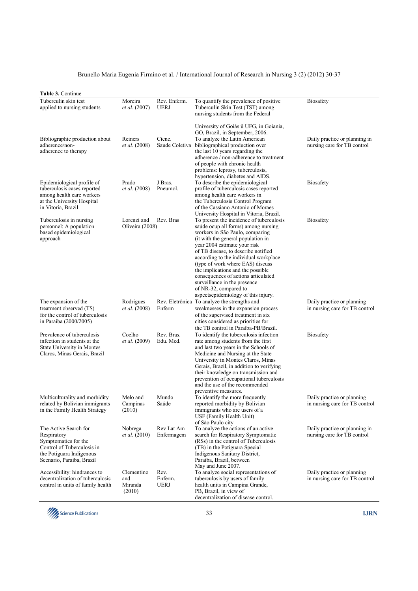| <b>Table 3. Continue</b>                                                                                                                            |                                        |                                |                                                                                                                                                                                                                                                                                                                                                                                                                                                                                          |                                                              |
|-----------------------------------------------------------------------------------------------------------------------------------------------------|----------------------------------------|--------------------------------|------------------------------------------------------------------------------------------------------------------------------------------------------------------------------------------------------------------------------------------------------------------------------------------------------------------------------------------------------------------------------------------------------------------------------------------------------------------------------------------|--------------------------------------------------------------|
| Tuberculin skin test<br>applied to nursing students                                                                                                 | Moreira<br><i>et al.</i> (2007)        | Rev. Enferm.<br><b>UERJ</b>    | To quantify the prevalence of positive<br>Tuberculin Skin Test (TST) among<br>nursing students from the Federal                                                                                                                                                                                                                                                                                                                                                                          | <b>Biosafety</b>                                             |
| Bibliographic production about<br>adherence/non-<br>adherence to therapy                                                                            | Reiners<br><i>et al.</i> (2008)        | Cienc.                         | University of Goiás û UFG, in Goiania,<br>GO, Brazil, in September, 2006.<br>To analyze the Latin American<br>Saude Coletiva bibliographical production over<br>the last 10 years regarding the<br>adherence / non-adherence to treatment<br>of people with chronic health<br>problems: leprosy, tuberculosis,                                                                                                                                                                           | Daily practice or planning in<br>nursing care for TB control |
| Epidemiological profile of<br>tuberculosis cases reported<br>among health care workers<br>at the University Hospital<br>in Vitoria, Brazil          | Prado<br><i>et al.</i> (2008)          | J Bras.<br>Pneumol.            | hypertension, diabetes and AIDS.<br>To describe the epidemiological<br>profile of tuberculosis cases reported<br>among health care workers in<br>the Tuberculosis Control Program<br>of the Cassiano Antonio of Moraes<br>University Hospital in Vitoria, Brazil.                                                                                                                                                                                                                        | <b>Biosafety</b>                                             |
| Tuberculosis in nursing<br>personnel: A population<br>based epidemiological<br>approach                                                             | Lorenzi and<br>Oliveira (2008)         | Rev. Bras                      | To present the incidence of tuberculosis<br>saúde ocup all forms) among nursing<br>workers in São Paulo, comparing<br>(it with the general population in<br>year 2004 estimate your risk<br>of TB disease, to describe notified<br>according to the individual workplace<br>(type of work where EAS) discuss<br>the implications and the possible<br>consequences of actions articulated<br>surveillance in the presence<br>of NR-32, compared to<br>aspectsepidemiology of this injury. | <b>Biosafety</b>                                             |
| The expansion of the<br>treatment observed (TS)<br>for the control of tuberculosis<br>in Paraiba (2000/2005)                                        | Rodrigues<br>et al. (2008)             | Enferm                         | Rev. Eletrônica To analyze the strengths and<br>weaknesses in the expansion process<br>of the supervised treatment in six<br>cities considered as priorities for<br>the TB control in Paraíba-PB/Brazil.                                                                                                                                                                                                                                                                                 | Daily practice or planning<br>in nursing care for TB control |
| Prevalence of tuberculosis<br>infection in students at the<br>State University in Montes<br>Claros, Minas Gerais, Brazil                            | Coelho<br><i>et al.</i> (2009)         | Rev. Bras.<br>Edu. Med.        | To identify the tuberculosis infection<br>rate among students from the first<br>and last two years in the Schools of<br>Medicine and Nursing at the State<br>University in Montes Claros, Minas<br>Gerais, Brazil, in addition to verifying<br>their knowledge on transmission and<br>prevention of occupational tuberculosis<br>and the use of the recommended<br>preventive measures.                                                                                                  | Biosafety                                                    |
| Multiculturality and morbidity<br>related by Bolivian immigrants<br>in the Family Health Strategy                                                   | Melo and<br>Campinas<br>(2010)         | Mundo<br>Saúde                 | To identify the more frequently<br>reported morbidity by Bolivian<br>immigrants who are users of a<br>USF (Family Health Unit)<br>of São Paulo city                                                                                                                                                                                                                                                                                                                                      | Daily practice or planning<br>in nursing care for TB control |
| The Active Search for<br>Respiratory<br>Symptomatics for the<br>Control of Tuberculosis in<br>the Potiguara Indigenous<br>Scenario, Paraiba, Brazil | Nobrega<br><i>et al.</i> (2010)        | Rev Lat Am<br>Enfermagem       | To analyze the actions of an active<br>search for Respiratory Symptomatic<br>(RSs) in the control of Tuberculosis<br>(TB) in the Potiguara Special<br>Indigenous Sanitary District,<br>Paraiba, Brazil, between<br>May and June 2007.                                                                                                                                                                                                                                                    | Daily practice or planning in<br>nursing care for TB control |
| Accessibility: hindrances to<br>decentralization of tuberculosis<br>control in units of family health                                               | Clementino<br>and<br>Miranda<br>(2010) | Rev.<br>Enferm.<br><b>UERJ</b> | To analyze social representations of<br>tuberculosis by users of family<br>health units in Campina Grande,<br>PB, Brazil, in view of<br>decentralization of disease control.                                                                                                                                                                                                                                                                                                             | Daily practice or planning<br>in nursing care for TB control |

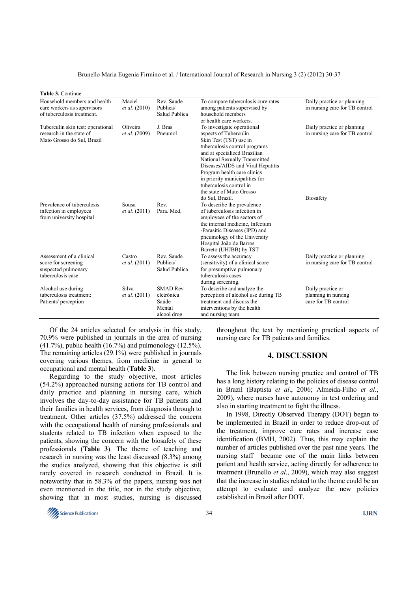| Table 3. Continue                                                                           |                                      |                                                                 |                                                                                                                                                                                                                                                                                                                                              |                                                                 |
|---------------------------------------------------------------------------------------------|--------------------------------------|-----------------------------------------------------------------|----------------------------------------------------------------------------------------------------------------------------------------------------------------------------------------------------------------------------------------------------------------------------------------------------------------------------------------------|-----------------------------------------------------------------|
| Household members and health                                                                | Maciel                               | Rev. Saude                                                      | To compare tuberculosis cure rates                                                                                                                                                                                                                                                                                                           | Daily practice or planning                                      |
| care workers as supervisors<br>of tuberculosis treatment.                                   | <i>et al.</i> (2010)                 | Publica/<br>Salud Publica                                       | among patients supervised by<br>household members<br>or health care workers.                                                                                                                                                                                                                                                                 | in nursing care for TB control                                  |
| Tuberculin skin test: operational<br>research in the state of<br>Mato Grosso do Sul, Brazil | Oliveira<br><i>et al.</i> (2009)     | J. Bras<br>Pneumol                                              | To investigate operational<br>aspects of Tuberculin<br>Skin Test (TST) use in<br>tuberculosis control programs<br>and at specialized Brazilian<br>National Sexually Transmitted<br>Diseases/AIDS and Viral Hepatitis<br>Program health care clinics<br>in priority municipalities for<br>tuberculosis control in<br>the state of Mato Grosso | Daily practice or planning<br>in nursing care for TB control    |
| Prevalence of tuberculosis<br>infection in employees<br>from university hospital            | <b>Sousa</b><br><i>et al.</i> (2011) | Rev.<br>Para, Med.                                              | do Sul, Brazil.<br>To describe the prevalence<br>of tuberculosis infection in<br>employees of the sectors of<br>the internal medicine, Infectum<br>-Parasitic Diseases (IPD) and<br>pneumology of the University<br>Hospital João de Barros<br>Barreto (UHJBB) by TST                                                                        | <b>Biosafety</b>                                                |
| Assessment of a clinical<br>score for screening<br>suspected pulmonary<br>tuberculosis case | Castro<br><i>et al.</i> (2011)       | Rev. Saude<br>Publica/<br>Salud Publica                         | To assess the accuracy<br>(sensitivity) of a clinical score<br>for presumptive pulmonary<br>tuberculosis cases<br>during screening.                                                                                                                                                                                                          | Daily practice or planning<br>in nursing care for TB control    |
| Alcohol use during<br>tuberculosis treatment:<br>Patients' perception                       | Silva<br><i>et al.</i> (2011)        | <b>SMAD Rev</b><br>eletrônica<br>Saúde<br>Mental<br>alcool drog | To describe and analyze the<br>perception of alcohol use during TB<br>treatment and discuss the<br>interventions by the health<br>and nursing team.                                                                                                                                                                                          | Daily practice or<br>planning in nursing<br>care for TB control |

Of the 24 articles selected for analysis in this study, 70.9% were published in journals in the area of nursing (41.7%), public health (16.7%) and pulmonology (12.5%). The remaining articles (29.1%) were published in journals covering various themes, from medicine in general to occupational and mental health (**Table 3**).

Regarding to the study objective, most articles (54.2%) approached nursing actions for TB control and daily practice and planning in nursing care, which involves the day-to-day assistance for TB patients and their families in health services, from diagnosis through to treatment. Other articles (37.5%) addressed the concern with the occupational health of nursing professionals and students related to TB infection when exposed to the patients, showing the concern with the biosafety of these professionals (**Table 3**). The theme of teaching and research in nursing was the least discussed (8.3%) among the studies analyzed, showing that this objective is still rarely covered in research conducted in Brazil. It is noteworthy that in 58.3% of the papers, nursing was not even mentioned in the title, nor in the study objective, showing that in most studies, nursing is discussed throughout the text by mentioning practical aspects of nursing care for TB patients and families.

### **4. DISCUSSION**

The link between nursing practice and control of TB has a long history relating to the policies of disease control in Brazil (Baptista *et al*., 2006; Almeida-Filho *et al*., 2009), where nurses have autonomy in test ordering and also in starting treatment to fight the illness.

In 1998, Directly Observed Therapy (DOT) began to be implemented in Brazil in order to reduce drop-out of the treatment, improve cure rates and increase case identification (BMH, 2002). Thus, this may explain the number of articles published over the past nine years. The nursing staff became one of the main links between patient and health service, acting directly for adherence to treatment (Brunello *et al*., 2009), which may also suggest that the increase in studies related to the theme could be an attempt to evaluate and analyze the new policies established in Brazil after DOT.

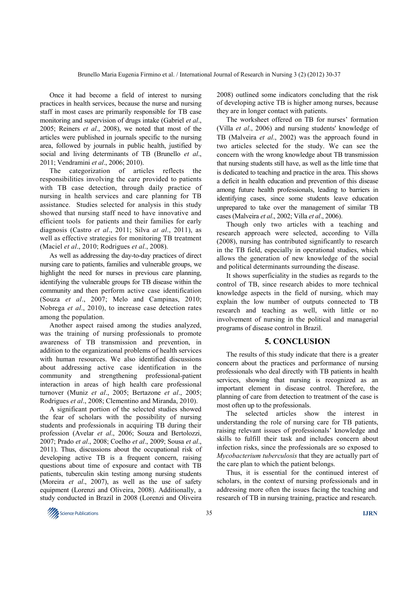Once it had become a field of interest to nursing practices in health services, because the nurse and nursing staff in most cases are primarily responsible for TB case monitoring and supervision of drugs intake (Gabriel *et al*., 2005; Reiners *et al*., 2008), we noted that most of the articles were published in journals specific to the nursing area, followed by journals in public health, justified by social and living determinants of TB (Brunello *et al*., 2011; Vendramini *et al*., 2006; 2010).

The categorization of articles reflects the responsibilities involving the care provided to patients with TB case detection, through daily practice of nursing in health services and care planning for TB assistance. Studies selected for analysis in this study showed that nursing staff need to have innovative and efficient tools for patients and their families for early diagnosis (Castro *et al*., 2011; Silva *at al*., 2011), as well as effective strategies for monitoring TB treatment (Maciel *et al*., 2010; Rodrigues *et al*., 2008).

As well as addressing the day-to-day practices of direct nursing care to patients, families and vulnerable groups, we highlight the need for nurses in previous care planning, identifying the vulnerable groups for TB disease within the community and then perform active case identification (Souza *et al*., 2007; Melo and Campinas, 2010; Nobrega *et al*., 2010), to increase case detection rates among the population.

Another aspect raised among the studies analyzed, was the training of nursing professionals to promote awareness of TB transmission and prevention, in addition to the organizational problems of health services with human resources. We also identified discussions about addressing active case identification in the community and strengthening professional-patient interaction in areas of high health care professional turnover (Muniz *et al*., 2005; Bertazone *et al*., 2005; Rodrigues *et al*., 2008; Clementino and Miranda, 2010).

A significant portion of the selected studies showed the fear of scholars with the possibility of nursing students and professionals in acquiring TB during their profession (Avelar *et al*., 2006; Souza and Bertolozzi, 2007; Prado *et al*., 2008; Coelho *et al*., 2009; Sousa *et al*., 2011). Thus, discussions about the occupational risk of developing active TB is a frequent concern, raising questions about time of exposure and contact with TB patients, tuberculin skin testing among nursing students (Moreira *et al*., 2007), as well as the use of safety equipment (Lorenzi and Oliveira, 2008). Additionally, a study conducted in Brazil in 2008 (Lorenzi and Oliveira

2008) outlined some indicators concluding that the risk of developing active TB is higher among nurses, because they are in longer contact with patients.

The worksheet offered on TB for nurses' formation (Villa *et al*., 2006) and nursing students' knowledge of TB (Malveira *et al*., 2002) was the approach found in two articles selected for the study. We can see the concern with the wrong knowledge about TB transmission that nursing students still have, as well as the little time that is dedicated to teaching and practice in the area. This shows a deficit in health education and prevention of this disease among future health professionals, leading to barriers in identifying cases, since some students leave education unprepared to take over the management of similar TB cases (Malveira *et al*., 2002; Villa *et al*., 2006).

Though only two articles with a teaching and research approach were selected, according to Villa (2008), nursing has contributed significantly to research in the TB field, especially in operational studies, which allows the generation of new knowledge of the social and political determinants surrounding the disease.

It shows superficiality in the studies as regards to the control of TB, since research abides to more technical knowledge aspects in the field of nursing, which may explain the low number of outputs connected to TB research and teaching as well, with little or no involvement of nursing in the political and managerial programs of disease control in Brazil.

### **5. CONCLUSION**

The results of this study indicate that there is a greater concern about the practices and performance of nursing professionals who deal directly with TB patients in health services, showing that nursing is recognized as an important element in disease control. Therefore, the planning of care from detection to treatment of the case is most often up to the professionals.

The selected articles show the interest in understanding the role of nursing care for TB patients, raising relevant issues of professionals' knowledge and skills to fulfill their task and includes concern about infection risks, since the professionals are so exposed to *Mycobacterium tuberculosis* that they are actually part of the care plan to which the patient belongs.

Thus, it is essential for the continued interest of scholars, in the context of nursing professionals and in addressing more often the issues facing the teaching and research of TB in nursing training, practice and research.

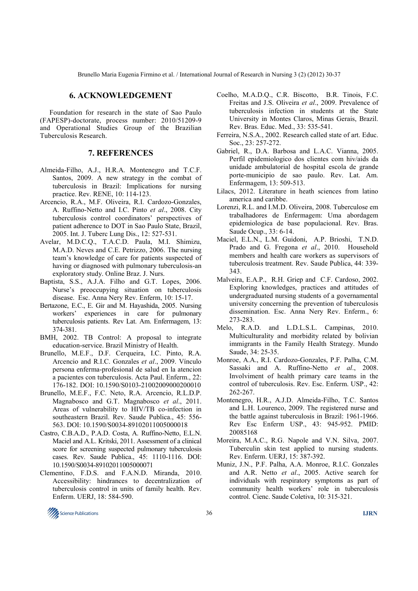### **6. ACKNOWLEDGEMENT**

Foundation for research in the state of Sao Paulo (FAPESP)-doctorate, process number: 2010/51209-9 and Operational Studies Group of the Brazilian Tuberculosis Research.

### **7. REFERENCES**

- Almeida-Filho, A.J., H.R.A. Montenegro and T.C.F. Santos, 2009. A new strategy in the combat of tuberculosis in Brazil: Implications for nursing practice. Rev. RENE, 10: 114-123.
- Arcencio, R.A., M.F. Oliveira, R.I. Cardozo-Gonzales, A. Ruffino-Netto and I.C. Pinto *et al*., 2008. City tuberculosis control coordinators' perspectives of patient adherence to DOT in Sao Paulo State, Brazil, 2005. Int. J. Tuberc Lung Dis., 12: 527-531.
- Avelar, M.D.C.Q., T.A.C.D. Paula, M.I. Shimizu, M.A.D. Neves and C.E. Petrizzo, 2006. The nursing team's knowledge of care for patients suspected of having or diagnosed with pulmonary tuberculosis-an exploratory study. Online Braz. J. Nurs.
- Baptista, S.S., A.J.A. Filho and G.T. Lopes, 2006. Nurse's preoccupying situation on tuberculosis disease. Esc. Anna Nery Rev. Enferm, 10: 15-17.
- Bertazone, E.C., E. Gir and M. Hayashida, 2005. Nursing workers' experiences in care for pulmonary tuberculosis patients. Rev Lat. Am. Enfermagem, 13: 374-381.
- BMH, 2002. TB Control: A proposal to integrate education-service. Brazil Ministry of Health.
- Brunello, M.E.F., D.F. Cerqueira, I.C. Pinto, R.A. Arcencio and R.I.C. Gonzales *et al*., 2009. Vínculo persona enferma-profesional de salud en la atencion a pacientes con tuberculosis. Acta Paul. Enferm., 22: 176-182. DOI: 10.1590/S0103-21002009000200010
- Brunello, M.E.F., F.C. Neto, R.A. Arcencio, R.L.D.P. Magnabosco and G.T. Magnabosco *et al*., 2011. Areas of vulnerability to HIV/TB co-infection in southeastern Brazil. Rev. Saude Publica., 45: 556- 563. DOI: 10.1590/S0034-89102011005000018
- Castro, C.B.A.D., P.A.D. Costa, A. Ruffino-Netto, E.L.N. Maciel and A.L. Kritski, 2011. Assessment of a clinical score for screening suspected pulmonary tuberculosis cases. Rev. Saude Publica., 45: 1110-1116. DOI: 10.1590/S0034-89102011005000071
- Clementino, F.D.S. and F.A.N.D. Miranda, 2010. Accessibility: hindrances to decentralization of tuberculosis control in units of family health. Rev. Enferm. UERJ, 18: 584-590.
- Coelho, M.A.D.Q., C.R. Biscotto, B.R. Tinois, F.C. Freitas and J.S. Oliveira *et al*., 2009. Prevalence of tuberculosis infection in students at the State University in Montes Claros, Minas Gerais, Brazil. Rev. Bras. Educ. Med., 33: 535-541.
- Ferreira, N.S.A., 2002. Research called state of art. Educ. Soc., 23: 257-272.
- Gabriel, R., D.A. Barbosa and L.A.C. Vianna, 2005. Perfil epidemiologico dos clientes com hiv/aids da unidade ambulatorial de hospital escola de grande porte-municipio de sao paulo. Rev. Lat. Am. Enfermagem, 13: 509-513.
- Lilacs, 2012. Literature in heath sciences from latino america and caribbe.
- Lorenzi, R.L. and I.M.D. Oliveira, 2008. Tuberculose em trabalhadores de Enfermagem: Uma abordagem epidemiologica de base populacional. Rev. Bras. Saude Ocup., 33: 6-14.
- Maciel, E.L.N., L.M. Guidoni, A.P. Brioshi, T.N.D. Prado and G. Fregona *et al*., 2010. Household members and health care workers as supervisors of tuberculosis treatment. Rev. Saude Publica, 44: 339- 343.
- Malveira, E.A.P., R.H. Griep and C.F. Cardoso, 2002. Exploring knowledges, practices and attitudes of undergraduated nursing students of a governamental university concerning the prevention of tuberculosis dissemination. Esc. Anna Nery Rev. Enferm., 6: 273-283.
- Melo, R.A.D. and L.D.L.S.L. Campinas, 2010. Multiculturality and morbidity related by bolivian immigrants in the Family Health Strategy. Mundo Saude, 34: 25-35.
- Monroe, A.A., R.I. Cardozo-Gonzales, P.F. Palha, C.M. Sassaki and A. Ruffino-Netto *et al*., 2008. Involviment of health primary care teams in the control of tuberculosis. Rev. Esc. Enferm. USP., 42: 262-267.
- Montenegro, H.R., A.J.D. Almeida-Filho, T.C. Santos and L.H. Lourenco, 2009. The registered nurse and the battle against tuberculosis in Brazil: 1961-1966. Rev Esc Enferm USP., 43: 945-952. PMID: 20085168
- Moreira, M.A.C., R.G. Napole and V.N. Silva, 2007. Tuberculin skin test applied to nursing students. Rev. Enferm. UERJ, 15: 387-392.
- Muniz, J.N., P.F. Palha, A.A. Monroe, R.I.C. Gonzales and A.R. Netto *et al*., 2005. Active search for individuals with respiratory symptoms as part of community health workers' role in tuberculosis control. Cienc. Saude Coletiva, 10: 315-321.